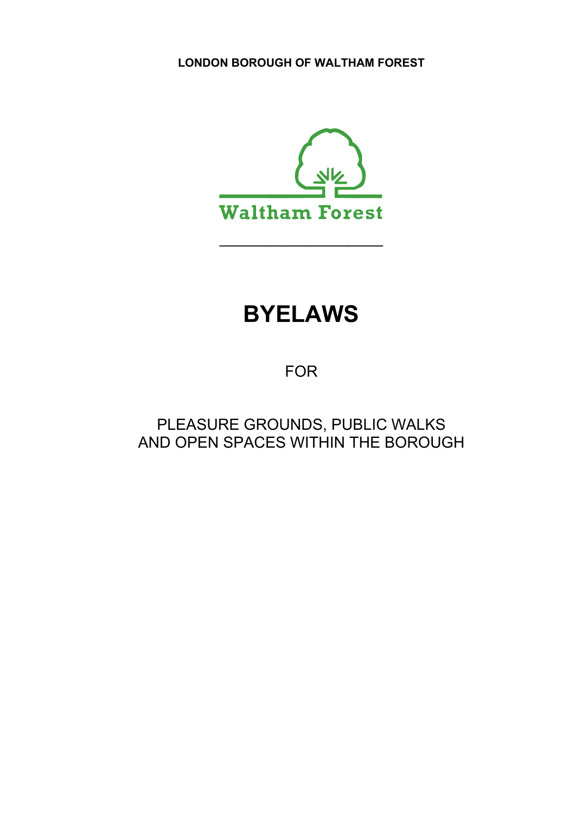**LONDON BOROUGH OF WALTHAM FOREST** 



 $\overline{\phantom{a}}$  . The set of the set of the set of the set of the set of the set of the set of the set of the set of the set of the set of the set of the set of the set of the set of the set of the set of the set of the set o

# **BYELAWS**

## FOR

### PLEASURE GROUNDS, PUBLIC WALKS AND OPEN SPACES WITHIN THE BOROUGH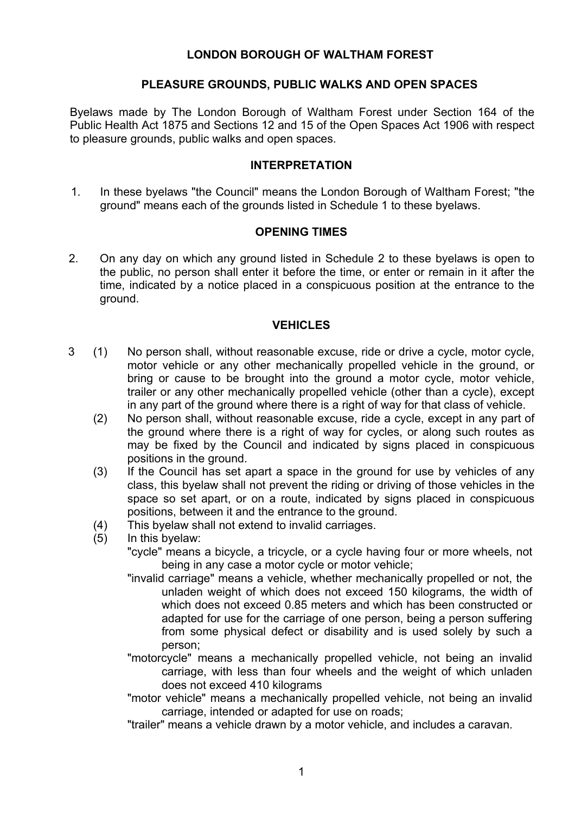#### **LONDON BOROUGH OF WALTHAM FOREST**

#### **PLEASURE GROUNDS, PUBLIC WALKS AND OPEN SPACES**

Byelaws made by The London Borough of Waltham Forest under Section 164 of the Public Health Act 1875 and Sections 12 and 15 of the Open Spaces Act 1906 with respect to pleasure grounds, public walks and open spaces.

#### **INTERPRETATION**

1. In these byelaws "the Council" means the London Borough of Waltham Forest; "the ground" means each of the grounds listed in Schedule 1 to these byelaws.

#### **OPENING TIMES**

2. On any day on which any ground listed in Schedule 2 to these byelaws is open to the public, no person shall enter it before the time, or enter or remain in it after the time, indicated by a notice placed in a conspicuous position at the entrance to the ground.

#### **VEHICLES**

- 3 (1) No person shall, without reasonable excuse, ride or drive a cycle, motor cycle, motor vehicle or any other mechanically propelled vehicle in the ground, or bring or cause to be brought into the ground a motor cycle, motor vehicle, trailer or any other mechanically propelled vehicle (other than a cycle), except in any part of the ground where there is a right of way for that class of vehicle.
	- (2) No person shall, without reasonable excuse, ride a cycle, except in any part of the ground where there is a right of way for cycles, or along such routes as may be fixed by the Council and indicated by signs placed in conspicuous positions in the ground.
	- (3) If the Council has set apart a space in the ground for use by vehicles of any class, this byelaw shall not prevent the riding or driving of those vehicles in the space so set apart, or on a route, indicated by signs placed in conspicuous positions, between it and the entrance to the ground.
	- (4) This byelaw shall not extend to invalid carriages.
	- (5) In this byelaw:

"cycle" means a bicycle, a tricycle, or a cycle having four or more wheels, not being in any case a motor cycle or motor vehicle;

"invalid carriage" means a vehicle, whether mechanically propelled or not, the unladen weight of which does not exceed 150 kilograms, the width of which does not exceed 0.85 meters and which has been constructed or adapted for use for the carriage of one person, being a person suffering from some physical defect or disability and is used solely by such a person;

"motorcycle" means a mechanically propelled vehicle, not being an invalid carriage, with less than four wheels and the weight of which unladen does not exceed 410 kilograms

"motor vehicle" means a mechanically propelled vehicle, not being an invalid carriage, intended or adapted for use on roads;

"trailer" means a vehicle drawn by a motor vehicle, and includes a caravan.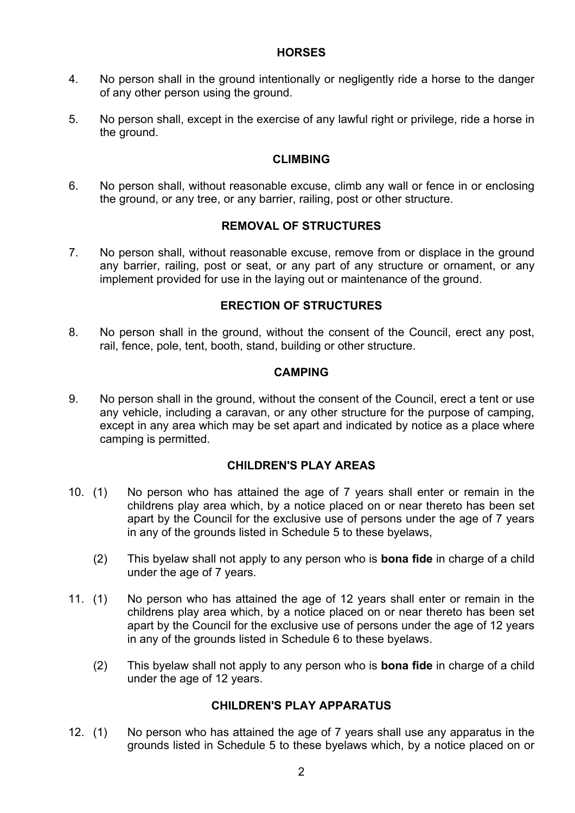#### **HORSES**

- 4. No person shall in the ground intentionally or negligently ride a horse to the danger of any other person using the ground.
- 5. No person shall, except in the exercise of any lawful right or privilege, ride a horse in the ground.

#### **CLIMBING**

6. No person shall, without reasonable excuse, climb any wall or fence in or enclosing the ground, or any tree, or any barrier, railing, post or other structure.

#### **REMOVAL OF STRUCTURES**

7. No person shall, without reasonable excuse, remove from or displace in the ground any barrier, railing, post or seat, or any part of any structure or ornament, or any implement provided for use in the laying out or maintenance of the ground.

#### **ERECTION OF STRUCTURES**

8. No person shall in the ground, without the consent of the Council, erect any post, rail, fence, pole, tent, booth, stand, building or other structure.

#### **CAMPING**

9. No person shall in the ground, without the consent of the Council, erect a tent or use any vehicle, including a caravan, or any other structure for the purpose of camping, except in any area which may be set apart and indicated by notice as a place where camping is permitted.

#### **CHILDREN'S PLAY AREAS**

- 10. (1) No person who has attained the age of 7 years shall enter or remain in the childrens play area which, by a notice placed on or near thereto has been set apart by the Council for the exclusive use of persons under the age of 7 years in any of the grounds listed in Schedule 5 to these byelaws,
	- (2) This byelaw shall not apply to any person who is **bona fide** in charge of a child under the age of 7 years.
- 11. (1) No person who has attained the age of 12 years shall enter or remain in the childrens play area which, by a notice placed on or near thereto has been set apart by the Council for the exclusive use of persons under the age of 12 years in any of the grounds listed in Schedule 6 to these byelaws.
	- (2) This byelaw shall not apply to any person who is **bona fide** in charge of a child under the age of 12 years.

### **CHILDREN'S PLAY APPARATUS**

12. (1) No person who has attained the age of 7 years shall use any apparatus in the grounds listed in Schedule 5 to these byelaws which, by a notice placed on or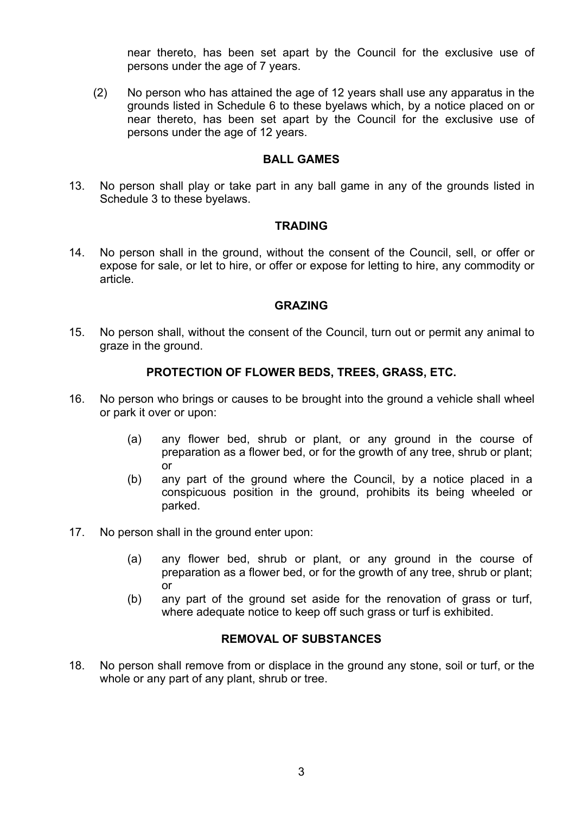near thereto, has been set apart by the Council for the exclusive use of persons under the age of 7 years.

(2) No person who has attained the age of 12 years shall use any apparatus in the grounds listed in Schedule 6 to these byelaws which, by a notice placed on or near thereto, has been set apart by the Council for the exclusive use of persons under the age of 12 years.

#### **BALL GAMES**

13. No person shall play or take part in any ball game in any of the grounds listed in Schedule 3 to these byelaws.

#### **TRADING**

14. No person shall in the ground, without the consent of the Council, sell, or offer or expose for sale, or let to hire, or offer or expose for letting to hire, any commodity or article.

#### **GRAZING**

15. No person shall, without the consent of the Council, turn out or permit any animal to graze in the ground.

#### **PROTECTION OF FLOWER BEDS, TREES, GRASS, ETC.**

- 16. No person who brings or causes to be brought into the ground a vehicle shall wheel or park it over or upon:
	- (a) any flower bed, shrub or plant, or any ground in the course of preparation as a flower bed, or for the growth of any tree, shrub or plant; or
	- (b) any part of the ground where the Council, by a notice placed in a conspicuous position in the ground, prohibits its being wheeled or parked.
- 17. No person shall in the ground enter upon:
	- (a) any flower bed, shrub or plant, or any ground in the course of preparation as a flower bed, or for the growth of any tree, shrub or plant; or
	- (b) any part of the ground set aside for the renovation of grass or turf, where adequate notice to keep off such grass or turf is exhibited.

#### **REMOVAL OF SUBSTANCES**

18. No person shall remove from or displace in the ground any stone, soil or turf, or the whole or any part of any plant, shrub or tree.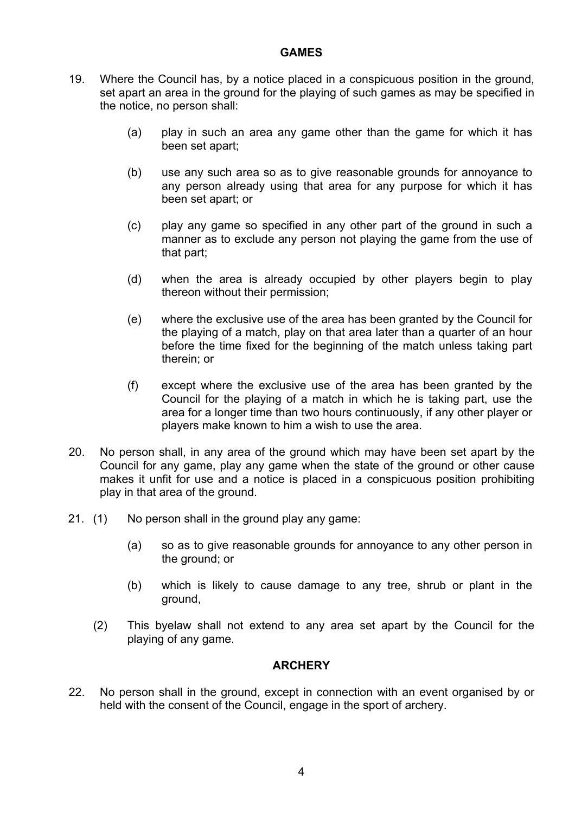#### **GAMES**

- 19. Where the Council has, by a notice placed in a conspicuous position in the ground, set apart an area in the ground for the playing of such games as may be specified in the notice, no person shall:
	- (a) play in such an area any game other than the game for which it has been set apart;
	- (b) use any such area so as to give reasonable grounds for annoyance to any person already using that area for any purpose for which it has been set apart; or
	- (c) play any game so specified in any other part of the ground in such a manner as to exclude any person not playing the game from the use of that part;
	- (d) when the area is already occupied by other players begin to play thereon without their permission;
	- (e) where the exclusive use of the area has been granted by the Council for the playing of a match, play on that area later than a quarter of an hour before the time fixed for the beginning of the match unless taking part therein; or
	- (f) except where the exclusive use of the area has been granted by the Council for the playing of a match in which he is taking part, use the area for a longer time than two hours continuously, if any other player or players make known to him a wish to use the area.
- 20. No person shall, in any area of the ground which may have been set apart by the Council for any game, play any game when the state of the ground or other cause makes it unfit for use and a notice is placed in a conspicuous position prohibiting play in that area of the ground.
- 21. (1) No person shall in the ground play any game:
	- (a) so as to give reasonable grounds for annoyance to any other person in the ground; or
	- (b) which is likely to cause damage to any tree, shrub or plant in the ground,
	- (2) This byelaw shall not extend to any area set apart by the Council for the playing of any game.

#### **ARCHERY**

22. No person shall in the ground, except in connection with an event organised by or held with the consent of the Council, engage in the sport of archery.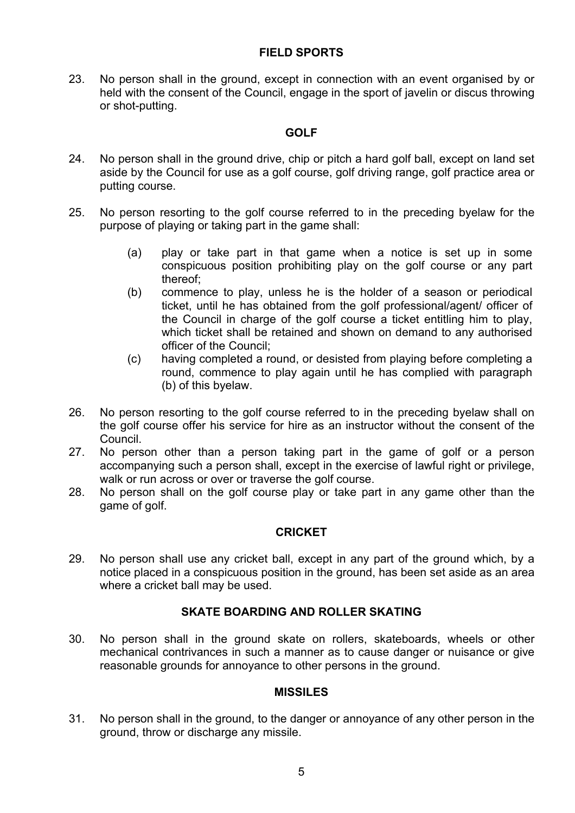#### **FIELD SPORTS**

23. No person shall in the ground, except in connection with an event organised by or held with the consent of the Council, engage in the sport of javelin or discus throwing or shot-putting.

#### **GOLF**

- 24. No person shall in the ground drive, chip or pitch a hard golf ball, except on land set aside by the Council for use as a golf course, golf driving range, golf practice area or putting course.
- 25. No person resorting to the golf course referred to in the preceding byelaw for the purpose of playing or taking part in the game shall:
	- (a) play or take part in that game when a notice is set up in some conspicuous position prohibiting play on the golf course or any part thereof;
	- (b) commence to play, unless he is the holder of a season or periodical ticket, until he has obtained from the golf professional/agent/ officer of the Council in charge of the golf course a ticket entitling him to play, which ticket shall be retained and shown on demand to any authorised officer of the Council;
	- (c) having completed a round, or desisted from playing before completing a round, commence to play again until he has complied with paragraph (b) of this byelaw.
- 26. No person resorting to the golf course referred to in the preceding byelaw shall on the golf course offer his service for hire as an instructor without the consent of the Council.
- 27. No person other than a person taking part in the game of golf or a person accompanying such a person shall, except in the exercise of lawful right or privilege, walk or run across or over or traverse the golf course.
- 28. No person shall on the golf course play or take part in any game other than the game of golf.

#### **CRICKET**

29. No person shall use any cricket ball, except in any part of the ground which, by a notice placed in a conspicuous position in the ground, has been set aside as an area where a cricket ball may be used.

#### **SKATE BOARDING AND ROLLER SKATING**

30. No person shall in the ground skate on rollers, skateboards, wheels or other mechanical contrivances in such a manner as to cause danger or nuisance or give reasonable grounds for annoyance to other persons in the ground.

#### **MISSILES**

31. No person shall in the ground, to the danger or annoyance of any other person in the ground, throw or discharge any missile.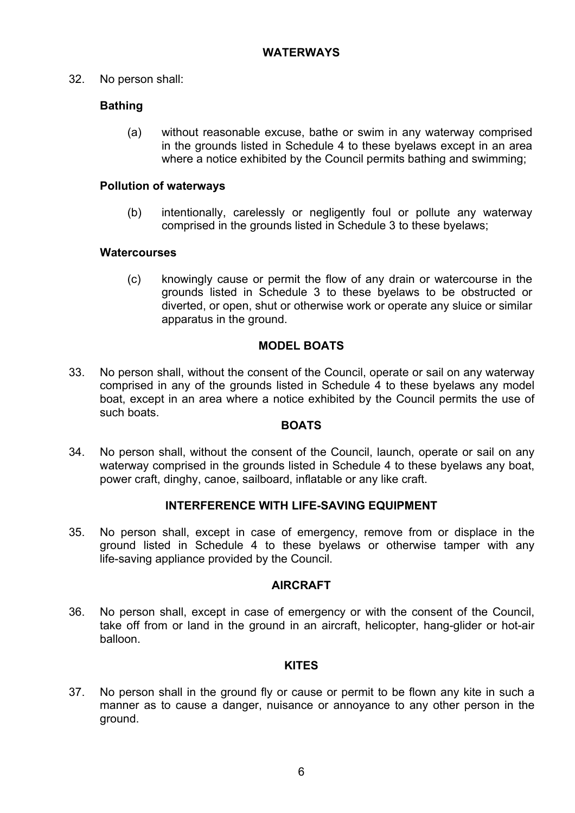32. No person shall:

#### **Bathing**

(a) without reasonable excuse, bathe or swim in any waterway comprised in the grounds listed in Schedule 4 to these byelaws except in an area where a notice exhibited by the Council permits bathing and swimming;

#### **Pollution of waterways**

(b) intentionally, carelessly or negligently foul or pollute any waterway comprised in the grounds listed in Schedule 3 to these byelaws;

#### **Watercourses**

(c) knowingly cause or permit the flow of any drain or watercourse in the grounds listed in Schedule 3 to these byelaws to be obstructed or diverted, or open, shut or otherwise work or operate any sluice or similar apparatus in the ground.

#### **MODEL BOATS**

33. No person shall, without the consent of the Council, operate or sail on any waterway comprised in any of the grounds listed in Schedule 4 to these byelaws any model boat, except in an area where a notice exhibited by the Council permits the use of such boats.

#### **BOATS**

34. No person shall, without the consent of the Council, launch, operate or sail on any waterway comprised in the grounds listed in Schedule 4 to these byelaws any boat, power craft, dinghy, canoe, sailboard, inflatable or any like craft.

#### **INTERFERENCE WITH LIFE-SAVING EQUIPMENT**

35. No person shall, except in case of emergency, remove from or displace in the ground listed in Schedule 4 to these byelaws or otherwise tamper with any life-saving appliance provided by the Council.

#### **AIRCRAFT**

36. No person shall, except in case of emergency or with the consent of the Council, take off from or land in the ground in an aircraft, helicopter, hang-glider or hot-air balloon.

#### **KITES**

37. No person shall in the ground fly or cause or permit to be flown any kite in such a manner as to cause a danger, nuisance or annoyance to any other person in the ground.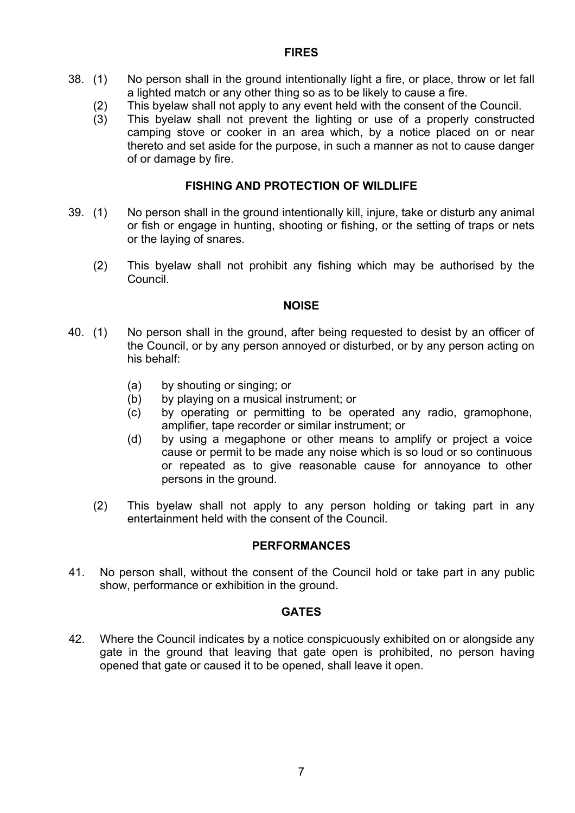- 38. (1) No person shall in the ground intentionally light a fire, or place, throw or let fall a lighted match or any other thing so as to be likely to cause a fire.
	- (2) This byelaw shall not apply to any event held with the consent of the Council.
	- (3) This byelaw shall not prevent the lighting or use of a properly constructed camping stove or cooker in an area which, by a notice placed on or near thereto and set aside for the purpose, in such a manner as not to cause danger of or damage by fire.

#### **FISHING AND PROTECTION OF WILDLIFE**

- 39. (1) No person shall in the ground intentionally kill, injure, take or disturb any animal or fish or engage in hunting, shooting or fishing, or the setting of traps or nets or the laying of snares.
	- (2) This byelaw shall not prohibit any fishing which may be authorised by the Council.

#### **NOISE**

- 40. (1) No person shall in the ground, after being requested to desist by an officer of the Council, or by any person annoyed or disturbed, or by any person acting on his behalf:
	- (a) by shouting or singing; or
	- (b) by playing on a musical instrument; or
	- (c) by operating or permitting to be operated any radio, gramophone, amplifier, tape recorder or similar instrument; or
	- (d) by using a megaphone or other means to amplify or project a voice cause or permit to be made any noise which is so loud or so continuous or repeated as to give reasonable cause for annoyance to other persons in the ground.
	- (2) This byelaw shall not apply to any person holding or taking part in any entertainment held with the consent of the Council.

#### **PERFORMANCES**

41. No person shall, without the consent of the Council hold or take part in any public show, performance or exhibition in the ground.

#### **GATES**

42. Where the Council indicates by a notice conspicuously exhibited on or alongside any gate in the ground that leaving that gate open is prohibited, no person having opened that gate or caused it to be opened, shall leave it open.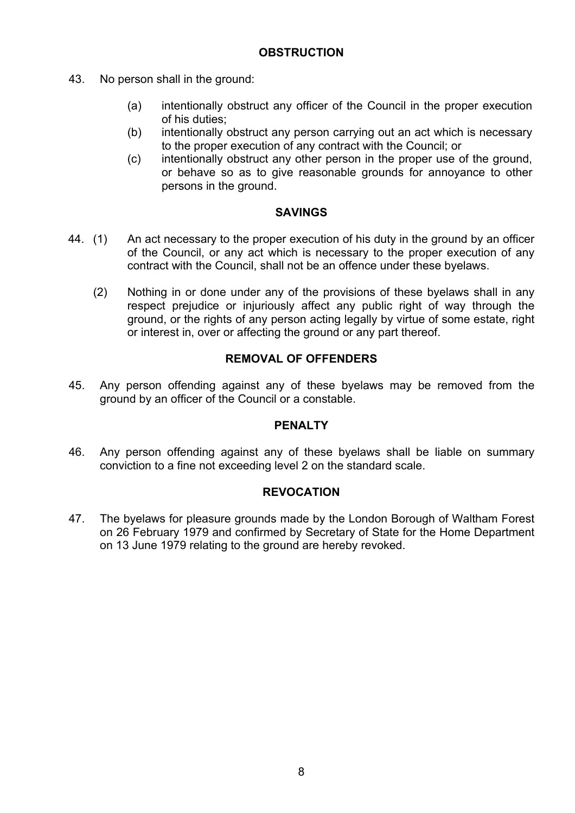- 43. No person shall in the ground:
	- (a) intentionally obstruct any officer of the Council in the proper execution of his duties;
	- (b) intentionally obstruct any person carrying out an act which is necessary to the proper execution of any contract with the Council; or
	- (c) intentionally obstruct any other person in the proper use of the ground, or behave so as to give reasonable grounds for annoyance to other persons in the ground.

#### **SAVINGS**

- 44. (1) An act necessary to the proper execution of his duty in the ground by an officer of the Council, or any act which is necessary to the proper execution of any contract with the Council, shall not be an offence under these byelaws.
	- (2) Nothing in or done under any of the provisions of these byelaws shall in any respect prejudice or injuriously affect any public right of way through the ground, or the rights of any person acting legally by virtue of some estate, right or interest in, over or affecting the ground or any part thereof.

#### **REMOVAL OF OFFENDERS**

45. Any person offending against any of these byelaws may be removed from the ground by an officer of the Council or a constable.

#### **PENALTY**

46. Any person offending against any of these byelaws shall be liable on summary conviction to a fine not exceeding level 2 on the standard scale.

#### **REVOCATION**

47. The byelaws for pleasure grounds made by the London Borough of Waltham Forest on 26 February 1979 and confirmed by Secretary of State for the Home Department on 13 June 1979 relating to the ground are hereby revoked.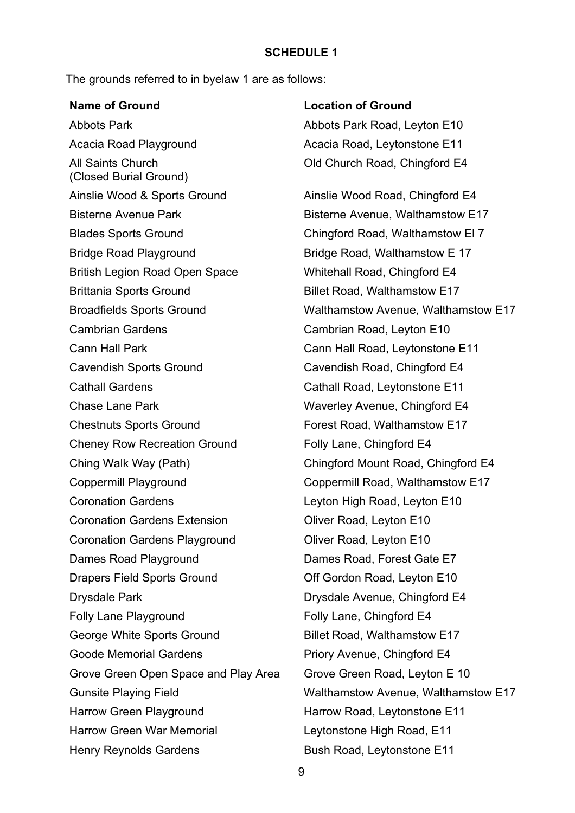#### **SCHEDULE 1**

The grounds referred to in byelaw 1 are as follows:

Abbots Park Abbots Park Road, Leyton E10 Acacia Road Playground Acacia Road, Leytonstone E11 All Saints Church (Closed Burial Ground) Ainslie Wood & Sports Ground Ainslie Wood Road, Chingford E4 Bisterne Avenue Park **Bisterne Avenue, Walthamstow E17** Blades Sports Ground Chingford Road, Walthamstow El 7 Bridge Road Playground Bridge Road, Walthamstow E 17 British Legion Road Open Space Whitehall Road, Chingford E4 Brittania Sports Ground Billet Road, Walthamstow E17 Cambrian Gardens Cambrian Road, Leyton E10 Cann Hall Park Cann Hall Road, Leytonstone E11 Cavendish Sports Ground Cavendish Road, Chingford E4 Cathall Gardens Cathall Road, Leytonstone E11 Chase Lane Park Waverley Avenue, Chingford E4 Chestnuts Sports Ground Forest Road, Walthamstow E17 Cheney Row Recreation Ground Folly Lane, Chingford E4 Ching Walk Way (Path) Chingford Mount Road, Chingford E4 Coppermill Playground Coppermill Road, Walthamstow E17 Coronation Gardens Leyton High Road, Leyton E10 Coronation Gardens Extension Oliver Road, Leyton E10 Coronation Gardens Playground Oliver Road, Leyton E10 Dames Road Playground Dames Road, Forest Gate E7 Drapers Field Sports Ground **Off Gordon Road, Leyton E10** Drysdale Park Drysdale Avenue, Chingford E4 Folly Lane Playground Folly Lane, Chingford E4 George White Sports Ground Billet Road, Walthamstow E17 Goode Memorial Gardens **Priory Avenue, Chingford E4** Grove Green Open Space and Play Area Grove Green Road, Leyton E 10 Harrow Green Playground Harrow Road, Leytonstone E11 Harrow Green War Memorial **Leytonstone High Road, E11** Henry Reynolds Gardens Bush Road, Leytonstone E11

#### **Name of Ground Location of Ground**

Old Church Road, Chingford E4

Broadfields Sports Ground Walthamstow Avenue, Walthamstow E17 Gunsite Playing Field **Walthamstow Avenue, Walthamstow E17**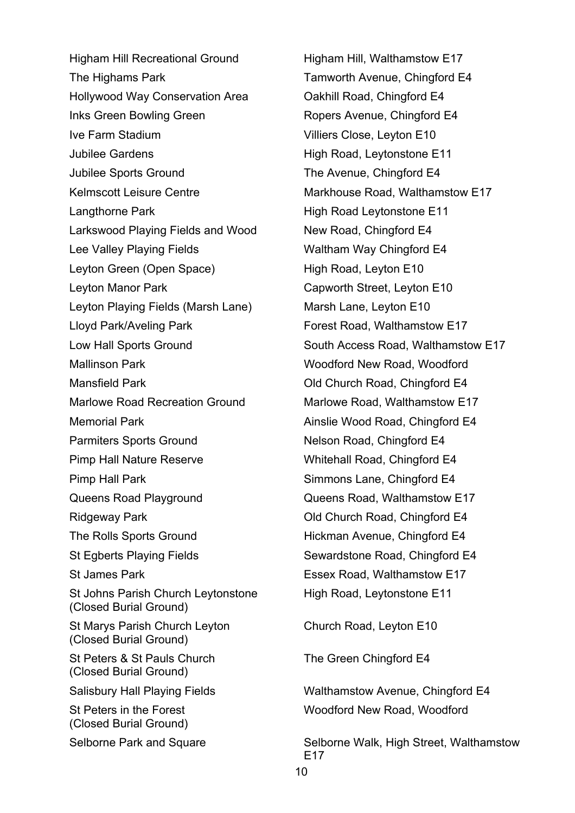Higham Hill Recreational Ground Higham Hill, Walthamstow E17 The Highams Park Tamworth Avenue, Chingford E4 Hollywood Way Conservation Area **Oakhill Road, Chingford E4** Inks Green Bowling Green **Ropers Avenue, Chingford E4** Ive Farm Stadium Villiers Close, Leyton E10 Jubilee Gardens **High Road, Leytonstone E11** Jubilee Sports Ground The Avenue, Chingford E4 Kelmscott Leisure Centre Markhouse Road, Walthamstow E17 Langthorne Park **High Road Leytonstone E11** Larkswood Playing Fields and Wood New Road, Chingford E4 Lee Valley Playing Fields Waltham Way Chingford E4 Leyton Green (Open Space) High Road, Leyton E10 Leyton Manor Park Capworth Street, Leyton E10 Leyton Playing Fields (Marsh Lane) Marsh Lane, Leyton E10 Lloyd Park/Aveling Park Forest Road, Walthamstow E17 Mallinson Park Woodford New Road, Woodford Mansfield Park **Mansfield Park** Old Church Road, Chingford E4 Marlowe Road Recreation Ground Marlowe Road, Walthamstow E17 Memorial Park **Ainslie Wood Road, Chingford E4** Parmiters Sports Ground Nelson Road, Chingford E4 Pimp Hall Nature Reserve Whitehall Road, Chingford E4 Pimp Hall Park Simmons Lane, Chingford E4 Queens Road Playground Queens Road, Walthamstow E17 Ridgeway Park **Calculation Cold Church Road, Chingford E4** The Rolls Sports Ground Hickman Avenue, Chingford E4 St Egberts Playing Fields Sewardstone Road, Chingford E4 St James Park **Exsex Road, Walthamstow E17** St Johns Parish Church Leytonstone (Closed Burial Ground) St Marys Parish Church Leyton (Closed Burial Ground) St Peters & St Pauls Church (Closed Burial Ground) Salisbury Hall Playing Fields Walthamstow Avenue, Chingford E4 St Peters in the Forest (Closed Burial Ground)

Low Hall Sports Ground South Access Road, Walthamstow E17 High Road, Leytonstone E11 Church Road, Leyton E10 The Green Chingford E4

Selborne Park and Square Selborne Walk, High Street, Walthamstow E17

Woodford New Road, Woodford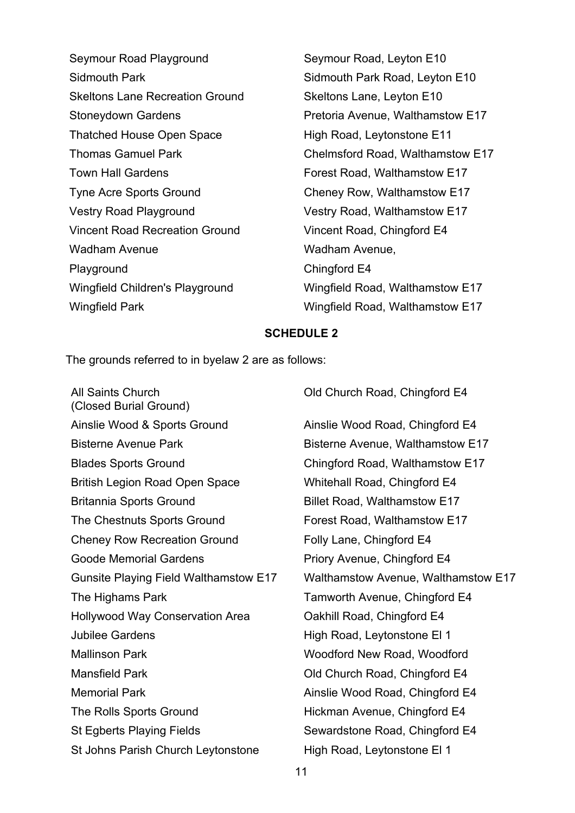Seymour Road Playground Seymour Road, Leyton E10 Sidmouth Park Sidmouth Park Road, Leyton E10 Skeltons Lane Recreation Ground Skeltons Lane, Leyton E10 Thatched House Open Space High Road, Leytonstone E11 Town Hall Gardens **Forest Road, Walthamstow E17** Tyne Acre Sports Ground Cheney Row, Walthamstow E17 Vestry Road Playground Vestry Road, Walthamstow E17 Vincent Road Recreation Ground Vincent Road, Chingford E4 Wadham Avenue **Wadham Avenue, Wadham Avenue**, Playground Chingford E4 Wingfield Children's Playground Wingfield Road, Walthamstow E17 Wingfield Park Wingfield Road, Walthamstow E17

Stoneydown Gardens **Pretoria Avenue, Walthamstow E17** Thomas Gamuel Park Chelmsford Road, Walthamstow E17

#### **SCHEDULE 2**

The grounds referred to in byelaw 2 are as follows:

All Saints Church (Closed Burial Ground) Ainslie Wood & Sports Ground **Ainslie Wood Road, Chingford E4** Bisterne Avenue Park **Bisterne Avenue, Walthamstow E17** Blades Sports Ground Chingford Road, Walthamstow E17 British Legion Road Open Space Whitehall Road, Chingford E4 Britannia Sports Ground Billet Road, Walthamstow E17 The Chestnuts Sports Ground Forest Road, Walthamstow E17 Cheney Row Recreation Ground Folly Lane, Chingford E4 Goode Memorial Gardens **Priory Avenue, Chingford E4** Gunsite Playing Field Walthamstow E17 Walthamstow Avenue, Walthamstow E17 The Highams Park Tamworth Avenue, Chingford E4 Hollywood Way Conservation Area **Cakhill Road, Chingford E4** Jubilee Gardens **High Road, Leytonstone El 1** Mallinson Park Woodford New Road, Woodford Mansfield Park **Canadian Cold Church Road, Chingford E4** Memorial Park **Ainslie Wood Road, Chingford E4** The Rolls Sports Ground Hickman Avenue, Chingford E4 St Egberts Playing Fields Sewardstone Road, Chingford E4 St Johns Parish Church Leytonstone High Road, Leytonstone El 1

Old Church Road, Chingford E4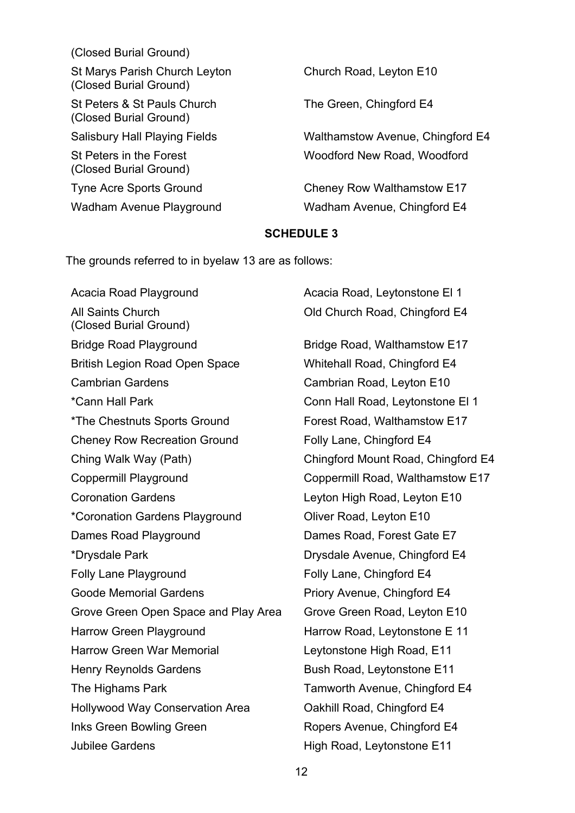| (Closed Burial Ground)                                  |                                  |
|---------------------------------------------------------|----------------------------------|
| St Marys Parish Church Leyton<br>(Closed Burial Ground) | Church Road, Leyton E10          |
| St Peters & St Pauls Church<br>(Closed Burial Ground)   | The Green, Chingford E4          |
| <b>Salisbury Hall Playing Fields</b>                    | Walthamstow Avenue, Chingford E4 |
| St Peters in the Forest<br>(Closed Burial Ground)       | Woodford New Road, Woodford      |
| <b>Tyne Acre Sports Ground</b>                          | Cheney Row Walthamstow E17       |
| Wadham Avenue Playground                                | Wadham Avenue, Chingford E4      |
|                                                         |                                  |

### **SCHEDULE 3**

The grounds referred to in byelaw 13 are as follows:

| Acacia Road Playground                             | Acacia Road, Leytonstone El 1      |
|----------------------------------------------------|------------------------------------|
| <b>All Saints Church</b><br>(Closed Burial Ground) | Old Church Road, Chingford E4      |
| <b>Bridge Road Playground</b>                      | Bridge Road, Walthamstow E17       |
| <b>British Legion Road Open Space</b>              | Whitehall Road, Chingford E4       |
| <b>Cambrian Gardens</b>                            | Cambrian Road, Leyton E10          |
| *Cann Hall Park                                    | Conn Hall Road, Leytonstone El 1   |
| *The Chestnuts Sports Ground                       | Forest Road, Walthamstow E17       |
| <b>Cheney Row Recreation Ground</b>                | Folly Lane, Chingford E4           |
| Ching Walk Way (Path)                              | Chingford Mount Road, Chingford E4 |
| Coppermill Playground                              | Coppermill Road, Walthamstow E17   |
| <b>Coronation Gardens</b>                          | Leyton High Road, Leyton E10       |
| *Coronation Gardens Playground                     | Oliver Road, Leyton E10            |
| Dames Road Playground                              | Dames Road, Forest Gate E7         |
| *Drysdale Park                                     | Drysdale Avenue, Chingford E4      |
| <b>Folly Lane Playground</b>                       | Folly Lane, Chingford E4           |
| <b>Goode Memorial Gardens</b>                      | Priory Avenue, Chingford E4        |
| Grove Green Open Space and Play Area               | Grove Green Road, Leyton E10       |
| Harrow Green Playground                            | Harrow Road, Leytonstone E 11      |
| <b>Harrow Green War Memorial</b>                   | Leytonstone High Road, E11         |
| <b>Henry Reynolds Gardens</b>                      | Bush Road, Leytonstone E11         |
| The Highams Park                                   | Tamworth Avenue, Chingford E4      |
| <b>Hollywood Way Conservation Area</b>             | Oakhill Road, Chingford E4         |
| Inks Green Bowling Green                           | Ropers Avenue, Chingford E4        |
| <b>Jubilee Gardens</b>                             | High Road, Leytonstone E11         |
|                                                    |                                    |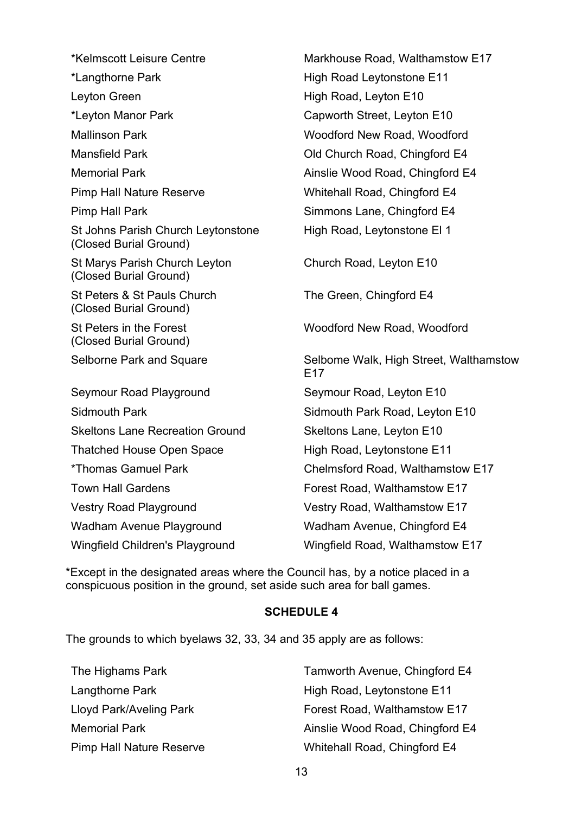| Markhouse Road, Walthamstow E17                           |
|-----------------------------------------------------------|
| <b>High Road Leytonstone E11</b>                          |
| High Road, Leyton E10                                     |
| Capworth Street, Leyton E10                               |
| Woodford New Road, Woodford                               |
| Old Church Road, Chingford E4                             |
| Ainslie Wood Road, Chingford E4                           |
| Whitehall Road, Chingford E4                              |
| Simmons Lane, Chingford E4                                |
| High Road, Leytonstone El 1                               |
| Church Road, Leyton E10                                   |
| The Green, Chingford E4                                   |
| Woodford New Road, Woodford                               |
| Selbome Walk, High Street, Walthamstow<br>E <sub>17</sub> |
| Seymour Road, Leyton E10                                  |
| Sidmouth Park Road, Leyton E10                            |
| Skeltons Lane, Leyton E10                                 |
| High Road, Leytonstone E11                                |
| Chelmsford Road, Walthamstow E17                          |
| Forest Road, Walthamstow E17                              |
| Vestry Road, Walthamstow E17                              |
| Wadham Avenue, Chingford E4                               |
| Wingfield Road, Walthamstow E17                           |
|                                                           |

\*Except in the designated areas where the Council has, by a notice placed in a conspicuous position in the ground, set aside such area for ball games.

#### **SCHEDULE 4**

The grounds to which byelaws 32, 33, 34 and 35 apply are as follows:

| The Highams Park                | Tamworth Avenue, Chingford E4   |
|---------------------------------|---------------------------------|
| Langthorne Park                 | High Road, Leytonstone E11      |
| Lloyd Park/Aveling Park         | Forest Road, Walthamstow E17    |
| <b>Memorial Park</b>            | Ainslie Wood Road, Chingford E4 |
| <b>Pimp Hall Nature Reserve</b> | Whitehall Road, Chingford E4    |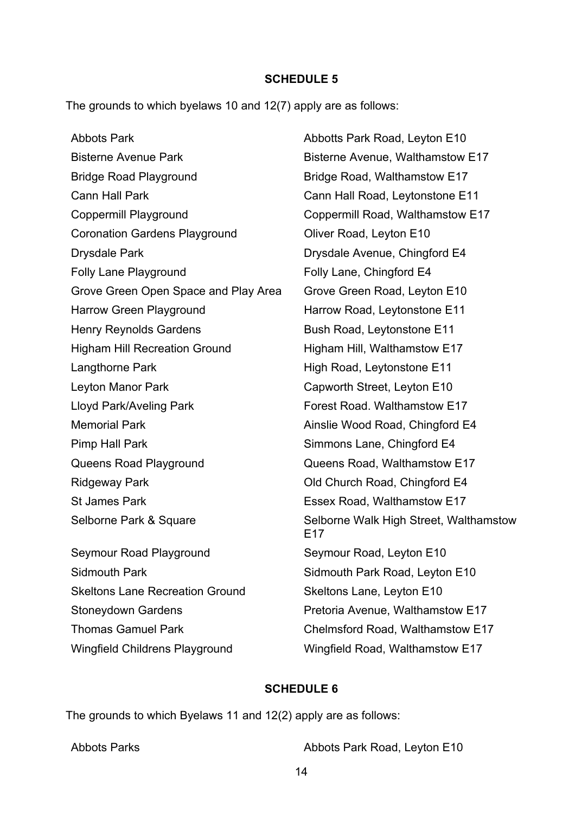#### **SCHEDULE 5**

The grounds to which byelaws 10 and 12(7) apply are as follows:

Abbots Park Abbotts Park Road, Leyton E10 Bisterne Avenue Park **Bisterne Avenue, Walthamstow E17** Bridge Road Playground Bridge Road, Walthamstow E17 Cann Hall Park Cann Hall Road, Leytonstone E11 Coppermill Playground Coppermill Road, Walthamstow E17 Coronation Gardens Playground Oliver Road, Leyton E10 Drysdale Park Drysdale Avenue, Chingford E4 Folly Lane Playground Folly Lane, Chingford E4 Grove Green Open Space and Play Area Grove Green Road, Leyton E10 Harrow Green Playground Harrow Road, Leytonstone E11 Henry Reynolds Gardens **Bush Road, Leytonstone E11** Higham Hill Recreation Ground Higham Hill, Walthamstow E17 Langthorne Park **High Road, Leytonstone E11** Leyton Manor Park Capworth Street, Leyton E10 Lloyd Park/Aveling Park **Forest Road. Walthamstow E17** Memorial Park **Ainslie Wood Road, Chingford E4** Pimp Hall Park Simmons Lane, Chingford E4 Queens Road Playground Queens Road, Walthamstow E17 Ridgeway Park **Calculation Cold Church Road, Chingford E4** St James Park **Expanditus** Essex Road, Walthamstow E17 Selborne Park & Square Selborne Walk High Street, Walthamstow Seymour Road Playground Seymour Road, Leyton E10 Sidmouth Park **Sidmouth Park Road, Leyton E10** Skeltons Lane Recreation Ground Skeltons Lane, Leyton E10 Stoneydown Gardens **Pretoria Avenue, Walthamstow E17** Thomas Gamuel Park Chelmsford Road, Walthamstow E17 Wingfield Childrens Playground Wingfield Road, Walthamstow E17

E17

### **SCHEDULE 6**

The grounds to which Byelaws 11 and 12(2) apply are as follows:

Abbots Parks **Abbots Park Road, Leyton E10**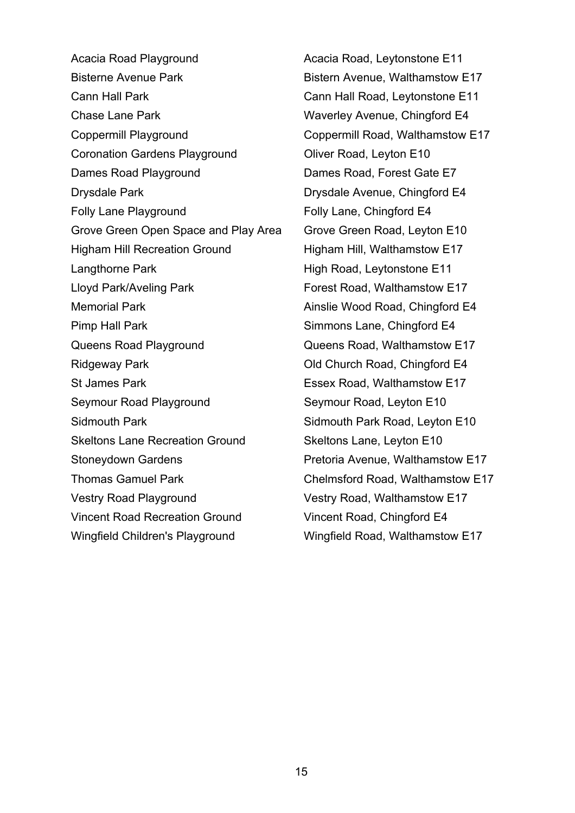Acacia Road Playground Acacia Road, Leytonstone E11 Bisterne Avenue Park Bistern Avenue, Walthamstow E17 Cann Hall Park Cann Hall Road, Leytonstone E11 Chase Lane Park Waverley Avenue, Chingford E4 Coppermill Playground Coppermill Road, Walthamstow E17 Coronation Gardens Playground Oliver Road, Leyton E10 Dames Road Playground Dames Road, Forest Gate E7 Drysdale Park Drysdale Avenue, Chingford E4 Folly Lane Playground Folly Lane, Chingford E4 Grove Green Open Space and Play Area Grove Green Road, Leyton E10 Higham Hill Recreation Ground Higham Hill, Walthamstow E17 Langthorne Park **High Road, Leytonstone E11** Lloyd Park/Aveling Park Forest Road, Walthamstow E17 Memorial Park **Ainslie Wood Road, Chingford E4** Pimp Hall Park Simmons Lane, Chingford E4 Queens Road Playground Queens Road, Walthamstow E17 Ridgeway Park **Calculation Cold Church Road, Chingford E4** St James Park **Exsex Road, Walthamstow E17** Seymour Road Playground Seymour Road, Leyton E10 Sidmouth Park **Sidmouth Park Road, Leyton E10** Skeltons Lane Recreation Ground Skeltons Lane, Leyton E10 Stoneydown Gardens **Pretoria Avenue, Walthamstow E17** Thomas Gamuel Park Chelmsford Road, Walthamstow E17 Vestry Road Playground Vestry Road, Walthamstow E17 Vincent Road Recreation Ground Vincent Road, Chingford E4

Wingfield Children's Playground Wingfield Road, Walthamstow E17